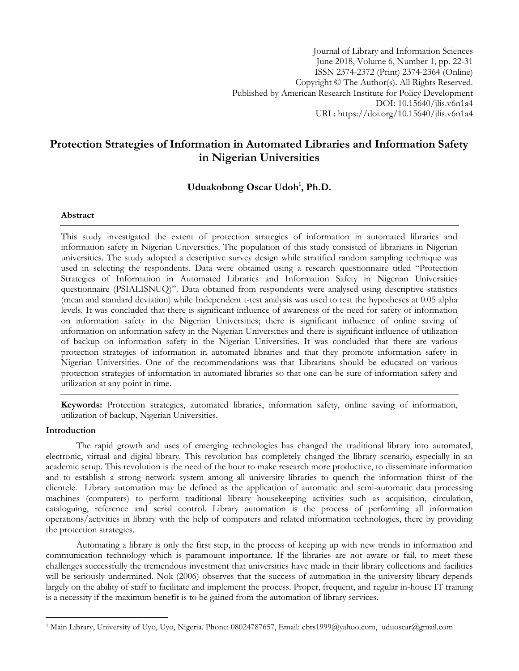Journal of Library and Information Sciences June 2018, Volume 6, Number 1, pp. 22-31 ISSN 2374-2372 (Print) 2374-2364 (Online) Copyright © The Author(s). All Rights Reserved. Published by American Research Institute for Policy Development DOI: 10.15640/jlis.v6n1a4 URL: https://doi.org/10.15640/jlis.v6n1a4

# **Protection Strategies of Information in Automated Libraries and Information Safety in Nigerian Universities**

# **Uduakobong Oscar Udoh<sup>1</sup> , Ph.D.**

# **Abstract**

This study investigated the extent of protection strategies of information in automated libraries and information safety in Nigerian Universities. The population of this study consisted of librarians in Nigerian universities. The study adopted a descriptive survey design while stratified random sampling technique was used in selecting the respondents. Data were obtained using a research questionnaire titled "Protection Strategies of Information in Automated Libraries and Information Safety in Nigerian Universities questionnaire (PSIALISNUQ)". Data obtained from respondents were analysed using descriptive statistics (mean and standard deviation) while Independent t-test analysis was used to test the hypotheses at 0.05 alpha levels. It was concluded that there is significant influence of awareness of the need for safety of information on information safety in the Nigerian Universities; there is significant influence of online saving of information on information safety in the Nigerian Universities and there is significant influence of utilization of backup on information safety in the Nigerian Universities. It was concluded that there are various protection strategies of information in automated libraries and that they promote information safety in Nigerian Universities. One of the recommendations was that Librarians should be educated on various protection strategies of information in automated libraries so that one can be sure of information safety and utilization at any point in time.

**Keywords:** Protection strategies, automated libraries, information safety, online saving of information, utilization of backup, Nigerian Universities.

### **Introduction**

l

The rapid growth and uses of emerging technologies has changed the traditional library into automated, electronic, virtual and digital library. This revolution has completely changed the library scenario, especially in an academic setup. This revolution is the need of the hour to make research more productive, to disseminate information and to establish a strong network system among all university libraries to quench the information thirst of the clientele. Library automation may be defined as the application of automatic and semi-automatic data processing machines (computers) to perform traditional library housekeeping activities such as acquisition, circulation, cataloguing, reference and serial control. Library automation is the process of performing all information operations/activities in library with the help of computers and related information technologies, there by providing the protection strategies.

Automating a library is only the first step, in the process of keeping up with new trends in information and communication technology which is paramount importance. If the libraries are not aware or fail, to meet these challenges successfully the tremendous investment that universities have made in their library collections and facilities will be seriously undermined. Nok (2006) observes that the success of automation in the university library depends largely on the ability of staff to facilitate and implement the process. Proper, frequent, and regular in-house IT training is a necessity if the maximum benefit is to be gained from the automation of library services.

<sup>1</sup> Main Library, University of Uyo, Uyo, Nigeria. Phone: 08024787657, Email: cbrs1999@yahoo.com, uduoscar@gmail.com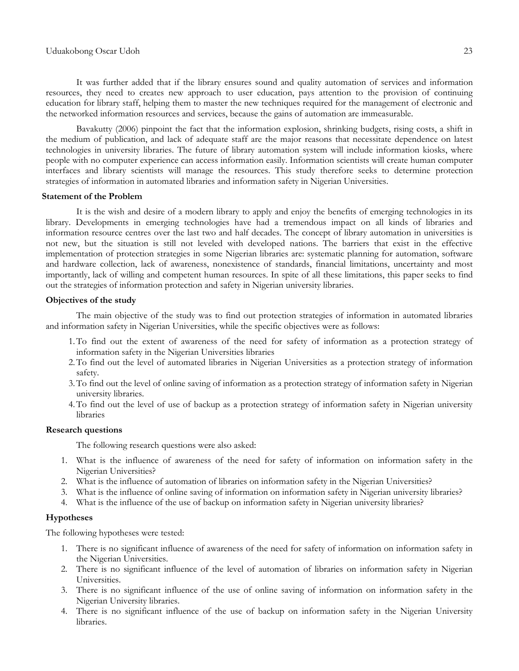It was further added that if the library ensures sound and quality automation of services and information resources, they need to creates new approach to user education, pays attention to the provision of continuing education for library staff, helping them to master the new techniques required for the management of electronic and the networked information resources and services, because the gains of automation are immeasurable.

Bavakutty (2006) pinpoint the fact that the information explosion, shrinking budgets, rising costs, a shift in the medium of publication, and lack of adequate staff are the major reasons that necessitate dependence on latest technologies in university libraries. The future of library automation system will include information kiosks, where people with no computer experience can access information easily. Information scientists will create human computer interfaces and library scientists will manage the resources. This study therefore seeks to determine protection strategies of information in automated libraries and information safety in Nigerian Universities.

#### **Statement of the Problem**

It is the wish and desire of a modern library to apply and enjoy the benefits of emerging technologies in its library. Developments in emerging technologies have had a tremendous impact on all kinds of libraries and information resource centres over the last two and half decades. The concept of library automation in universities is not new, but the situation is still not leveled with developed nations. The barriers that exist in the effective implementation of protection strategies in some Nigerian libraries are: systematic planning for automation, software and hardware collection, lack of awareness, nonexistence of standards, financial limitations, uncertainty and most importantly, lack of willing and competent human resources. In spite of all these limitations, this paper seeks to find out the strategies of information protection and safety in Nigerian university libraries.

#### **Objectives of the study**

The main objective of the study was to find out protection strategies of information in automated libraries and information safety in Nigerian Universities, while the specific objectives were as follows:

- 1.To find out the extent of awareness of the need for safety of information as a protection strategy of information safety in the Nigerian Universities libraries
- 2.To find out the level of automated libraries in Nigerian Universities as a protection strategy of information safety.
- 3.To find out the level of online saving of information as a protection strategy of information safety in Nigerian university libraries.
- 4.To find out the level of use of backup as a protection strategy of information safety in Nigerian university libraries

#### **Research questions**

The following research questions were also asked:

- 1. What is the influence of awareness of the need for safety of information on information safety in the Nigerian Universities?
- 2. What is the influence of automation of libraries on information safety in the Nigerian Universities?
- 3. What is the influence of online saving of information on information safety in Nigerian university libraries?
- 4. What is the influence of the use of backup on information safety in Nigerian university libraries?

# **Hypotheses**

The following hypotheses were tested:

- 1. There is no significant influence of awareness of the need for safety of information on information safety in the Nigerian Universities.
- 2. There is no significant influence of the level of automation of libraries on information safety in Nigerian Universities.
- 3. There is no significant influence of the use of online saving of information on information safety in the Nigerian University libraries.
- 4. There is no significant influence of the use of backup on information safety in the Nigerian University libraries.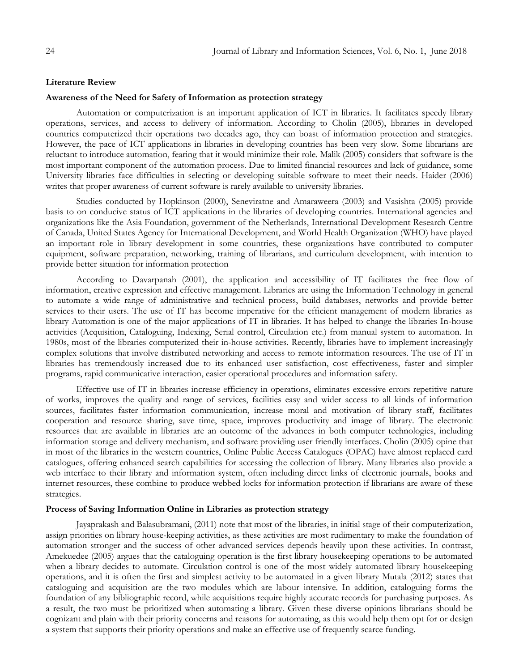#### **Literature Review**

### **Awareness of the Need for Safety of Information as protection strategy**

Automation or computerization is an important application of ICT in libraries. It facilitates speedy library operations, services, and access to delivery of information. According to Cholin (2005), libraries in developed countries computerized their operations two decades ago, they can boast of information protection and strategies. However, the pace of ICT applications in libraries in developing countries has been very slow. Some librarians are reluctant to introduce automation, fearing that it would minimize their role. Malik (2005) considers that software is the most important component of the automation process. Due to limited financial resources and lack of guidance, some University libraries face difficulties in selecting or developing suitable software to meet their needs. Haider (2006) writes that proper awareness of current software is rarely available to university libraries.

Studies conducted by Hopkinson (2000), Seneviratne and Amaraweera (2003) and Vasishta (2005) provide basis to on conducive status of ICT applications in the libraries of developing countries. International agencies and organizations like the Asia Foundation, government of the Netherlands, International Development Research Centre of Canada, United States Agency for International Development, and World Health Organization (WHO) have played an important role in library development in some countries, these organizations have contributed to computer equipment, software preparation, networking, training of librarians, and curriculum development, with intention to provide better situation for information protection

According to Davarpanah (2001), the application and accessibility of IT facilitates the free flow of information, creative expression and effective management. Libraries are using the Information Technology in general to automate a wide range of administrative and technical process, build databases, networks and provide better services to their users. The use of IT has become imperative for the efficient management of modern libraries as library Automation is one of the major applications of IT in libraries. It has helped to change the libraries In-house activities (Acquisition, Cataloguing, Indexing, Serial control, Circulation etc.) from manual system to automation. In 1980s, most of the libraries computerized their in-house activities. Recently, libraries have to implement increasingly complex solutions that involve distributed networking and access to remote information resources. The use of IT in libraries has tremendously increased due to its enhanced user satisfaction, cost effectiveness, faster and simpler programs, rapid communicative interaction, easier operational procedures and information safety.

Effective use of IT in libraries increase efficiency in operations, eliminates excessive errors repetitive nature of works, improves the quality and range of services, facilities easy and wider access to all kinds of information sources, facilitates faster information communication, increase moral and motivation of library staff, facilitates cooperation and resource sharing, save time, space, improves productivity and image of library. The electronic resources that are available in libraries are an outcome of the advances in both computer technologies, including information storage and delivery mechanism, and software providing user friendly interfaces. Cholin (2005) opine that in most of the libraries in the western countries, Online Public Access Catalogues (OPAC) have almost replaced card catalogues, offering enhanced search capabilities for accessing the collection of library. Many libraries also provide a web interface to their library and information system, often including direct links of electronic journals, books and internet resources, these combine to produce webbed locks for information protection if librarians are aware of these strategies.

#### **Process of Saving Information Online in Libraries as protection strategy**

Jayaprakash and Balasubramani, (2011) note that most of the libraries, in initial stage of their computerization, assign priorities on library house-keeping activities, as these activities are most rudimentary to make the foundation of automation stronger and the success of other advanced services depends heavily upon these activities. In contrast, Amekuedee (2005) argues that the cataloguing operation is the first library housekeeping operations to be automated when a library decides to automate. Circulation control is one of the most widely automated library housekeeping operations, and it is often the first and simplest activity to be automated in a given library Mutala (2012) states that cataloguing and acquisition are the two modules which are labour intensive. In addition, cataloguing forms the foundation of any bibliographic record, while acquisitions require highly accurate records for purchasing purposes. As a result, the two must be prioritized when automating a library. Given these diverse opinions librarians should be cognizant and plain with their priority concerns and reasons for automating, as this would help them opt for or design a system that supports their priority operations and make an effective use of frequently scarce funding.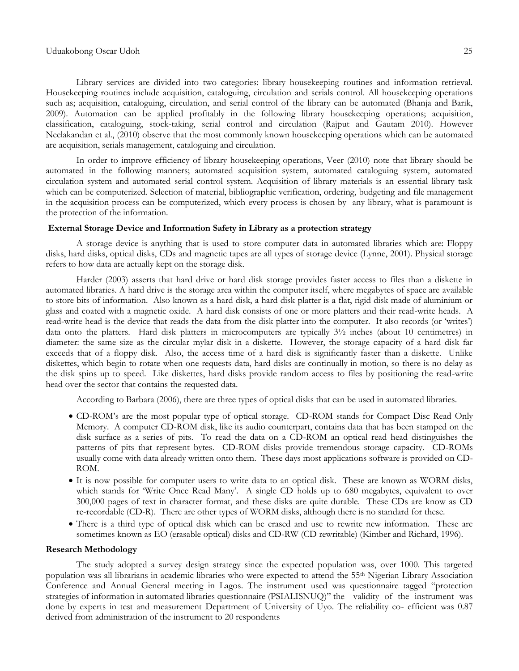#### Uduakobong Oscar Udoh 25

Library services are divided into two categories: library housekeeping routines and information retrieval. Housekeeping routines include acquisition, cataloguing, circulation and serials control. All housekeeping operations such as; acquisition, cataloguing, circulation, and serial control of the library can be automated (Bhanja and Barik, 2009). Automation can be applied profitably in the following library housekeeping operations; acquisition, classification, cataloguing, stock-taking, serial control and circulation (Rajput and Gautam 2010). However Neelakandan et al., (2010) observe that the most commonly known housekeeping operations which can be automated are acquisition, serials management, cataloguing and circulation.

In order to improve efficiency of library housekeeping operations, Veer (2010) note that library should be automated in the following manners; automated acquisition system, automated cataloguing system, automated circulation system and automated serial control system. Acquisition of library materials is an essential library task which can be computerized. Selection of material, bibliographic verification, ordering, budgeting and file management in the acquisition process can be computerized, which every process is chosen by any library, what is paramount is the protection of the information.

# **External Storage Device and Information Safety in Library as a protection strategy**

A storage device is anything that is used to store computer data in automated libraries which are: Floppy disks, hard disks, optical disks, CDs and magnetic tapes are all types of storage device (Lynne, 2001). Physical storage refers to how data are actually kept on the storage disk.

Harder (2003) asserts that hard drive or hard disk storage provides faster access to files than a diskette in automated libraries. A hard drive is the storage area within the computer itself, where megabytes of space are available to store bits of information. Also known as a hard disk, a hard disk platter is a flat, rigid disk made of aluminium or glass and coated with a magnetic oxide. A hard disk consists of one or more platters and their read-write heads. A read-write head is the device that reads the data from the disk platter into the computer. It also records (or "writes") data onto the platters. Hard disk platters in microcomputers are typically 3½ inches (about 10 centimetres) in diameter: the same size as the circular mylar disk in a diskette. However, the storage capacity of a hard disk far exceeds that of a floppy disk. Also, the access time of a hard disk is significantly faster than a diskette. Unlike diskettes, which begin to rotate when one requests data, hard disks are continually in motion, so there is no delay as the disk spins up to speed. Like diskettes, hard disks provide random access to files by positioning the read-write head over the sector that contains the requested data.

According to Barbara (2006), there are three types of optical disks that can be used in automated libraries.

- CD-ROM"s are the most popular type of optical storage. CD-ROM stands for Compact Disc Read Only Memory. A computer CD-ROM disk, like its audio counterpart, contains data that has been stamped on the disk surface as a series of pits. To read the data on a CD-ROM an optical read head distinguishes the patterns of pits that represent bytes. CD-ROM disks provide tremendous storage capacity. CD-ROMs usually come with data already written onto them. These days most applications software is provided on CD-ROM.
- It is now possible for computer users to write data to an optical disk. These are known as WORM disks, which stands for 'Write Once Read Many'. A single CD holds up to 680 megabytes, equivalent to over 300,000 pages of text in character format, and these disks are quite durable. These CDs are know as CD re-recordable (CD-R). There are other types of WORM disks, although there is no standard for these.
- There is a third type of optical disk which can be erased and use to rewrite new information. These are sometimes known as EO (erasable optical) disks and CD-RW (CD rewritable) (Kimber and Richard, 1996).

### **Research Methodology**

The study adopted a survey design strategy since the expected population was, over 1000. This targeted population was all librarians in academic libraries who were expected to attend the 55th Nigerian Library Association Conference and Annual General meeting in Lagos. The instrument used was questionnaire tagged "protection strategies of information in automated libraries questionnaire (PSIALISNUQ)" the validity of the instrument was done by experts in test and measurement Department of University of Uyo. The reliability co- efficient was 0.87 derived from administration of the instrument to 20 respondents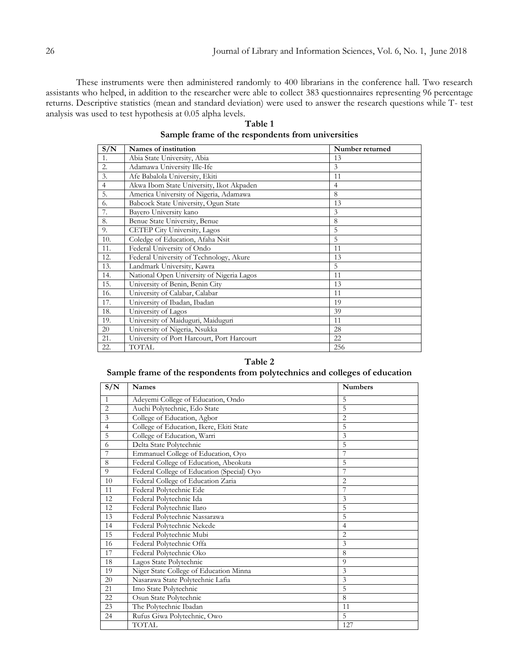These instruments were then administered randomly to 400 librarians in the conference hall. Two research assistants who helped, in addition to the researcher were able to collect 383 questionnaires representing 96 percentage returns. Descriptive statistics (mean and standard deviation) were used to answer the research questions while T- test analysis was used to test hypothesis at 0.05 alpha levels.

| S/N              | Names of institution                       | Number returned |
|------------------|--------------------------------------------|-----------------|
| 1.               | Abia State University, Abia                | 13              |
| 2.               | Adamawa University Ille-Ife                | $\overline{3}$  |
| $\overline{3}$ . | Afe Babalola University, Ekiti             | 11              |
| $\overline{4}$   | Akwa Ibom State University, Ikot Akpaden   | $\overline{4}$  |
| 5.               | America University of Nigeria, Adamawa     | 8               |
| 6.               | Babcock State University, Ogun State       | 13              |
| 7.               | Bayero University kano                     | 3               |
| 8.               | Benue State University, Benue              | 8               |
| 9.               | CETEP City University, Lagos               | 5               |
| 10.              | Coledge of Education, Afaha Nsit           | 5               |
| 11.              | Federal University of Ondo                 | 11              |
| 12.              | Federal University of Technology, Akure    | 13              |
| 13.              | Landmark University, Kawra                 | 5               |
| 14.              | National Open University of Nigeria Lagos  | 11              |
| 15.              | University of Benin, Benin City            | 13              |
| 16.              | University of Calabar, Calabar             | 11              |
| 17.              | University of Ibadan, Ibadan               | 19              |
| 18.              | University of Lagos                        | 39              |
| 19.              | University of Maiduguri, Maiduguri         | 11              |
| 20               | University of Nigeria, Nsukka              | 28              |
| 21.              | University of Port Harcourt, Port Harcourt | 22              |
| 22.              | TOTAL                                      | 256             |

**Table 1 Sample frame of the respondents from universities**

# **Table 2**

# **Sample frame of the respondents from polytechnics and colleges of education**

| S/N            | <b>Names</b>                               | <b>Numbers</b> |
|----------------|--------------------------------------------|----------------|
| $\mathbf{1}$   | Adevemi College of Education, Ondo         | 5              |
| $\overline{2}$ | Auchi Polytechnic, Edo State               | 5              |
| 3              | College of Education, Agbor                | $\overline{2}$ |
| $\overline{4}$ | College of Education, Ikere, Ekiti State   | 5              |
| 5              | College of Education, Warri                | 3              |
| 6              | Delta State Polytechnic                    | 5              |
| 7              | Emmanuel College of Education, Oyo         | 7              |
| 8              | Federal College of Education, Abeokuta     | 5              |
| 9              | Federal College of Education (Special) Oyo |                |
| 10             | Federal College of Education Zaria         | $\overline{2}$ |
| 11             | Federal Polytechnic Ede                    | 7              |
| 12             | Federal Polytechnic Ida                    | 3              |
| 12             | Federal Polytechnic Ilaro                  | 5              |
| 13             | Federal Polytechnic Nassarawa              | 5              |
| 14             | Federal Polytechnic Nekede                 | 4              |
| 15             | Federal Polytechnic Mubi                   | 2              |
| 16             | Federal Polytechnic Offa                   | 3              |
| 17             | Federal Polytechnic Oko                    | 8              |
| 18             | Lagos State Polytechnic                    | 9              |
| 19             | Niger State College of Education Minna     | 3              |
| 20             | Nasarawa State Polytechnic Lafia           | 3              |
| 21             | Imo State Polytechnic                      | 5              |
| 22             | Osun State Polytechnic                     | 8              |
| 23             | The Polytechnic Ibadan                     | 11             |
| 24             | Rufus Giwa Polytechnic, Owo                | 5              |
|                | <b>TOTAL</b>                               | 127            |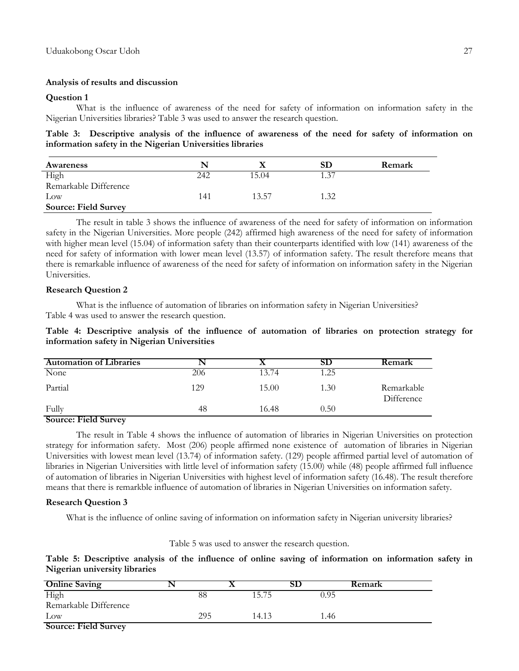# **Analysis of results and discussion**

# **Question 1**

What is the influence of awareness of the need for safety of information on information safety in the Nigerian Universities libraries? Table 3 was used to answer the research question.

# **Table 3: Descriptive analysis of the influence of awareness of the need for safety of information on information safety in the Nigerian Universities libraries**

| Awareness                   |     |       | SD   | Remark |
|-----------------------------|-----|-------|------|--------|
| High                        | 242 | 15.04 | 1.37 |        |
| Remarkable Difference       |     |       |      |        |
| $_{\text{Low}}$             | 141 | 13.57 | 1.32 |        |
| <b>Source: Field Survey</b> |     |       |      |        |

The result in table 3 shows the influence of awareness of the need for safety of information on information safety in the Nigerian Universities. More people (242) affirmed high awareness of the need for safety of information with higher mean level (15.04) of information safety than their counterparts identified with low (141) awareness of the need for safety of information with lower mean level (13.57) of information safety. The result therefore means that there is remarkable influence of awareness of the need for safety of information on information safety in the Nigerian Universities.

# **Research Question 2**

What is the influence of automation of libraries on information safety in Nigerian Universities? Table 4 was used to answer the research question.

# **Table 4: Descriptive analysis of the influence of automation of libraries on protection strategy for information safety in Nigerian Universities**

| <b>Automation of Libraries</b> |     |       | SD   | <b>Remark</b>            |
|--------------------------------|-----|-------|------|--------------------------|
| None                           | 206 | 13.74 | 1.25 |                          |
| Partial                        | 129 | 15.00 | 1.30 | Remarkable<br>Difference |
| Fully                          | 48  | 16.48 | 0.50 |                          |

# **Source: Field Survey**

The result in Table 4 shows the influence of automation of libraries in Nigerian Universities on protection strategy for information safety. Most (206) people affirmed none existence of automation of libraries in Nigerian Universities with lowest mean level (13.74) of information safety. (129) people affirmed partial level of automation of libraries in Nigerian Universities with little level of information safety (15.00) while (48) people affirmed full influence of automation of libraries in Nigerian Universities with highest level of information safety (16.48). The result therefore means that there is remarkble influence of automation of libraries in Nigerian Universities on information safety.

### **Research Question 3**

What is the influence of online saving of information on information safety in Nigerian university libraries?

# Table 5 was used to answer the research question.

**Table 5: Descriptive analysis of the influence of online saving of information on information safety in Nigerian university libraries**

| <b>Online Saving</b>        |     |       |      | Remark |
|-----------------------------|-----|-------|------|--------|
| High                        | 88  | 15.75 | 0.95 |        |
| Remarkable Difference       |     |       |      |        |
| $_{\text{Low}}$             | 295 | 14.13 | 1.46 |        |
| <b>Source: Field Survey</b> |     |       |      |        |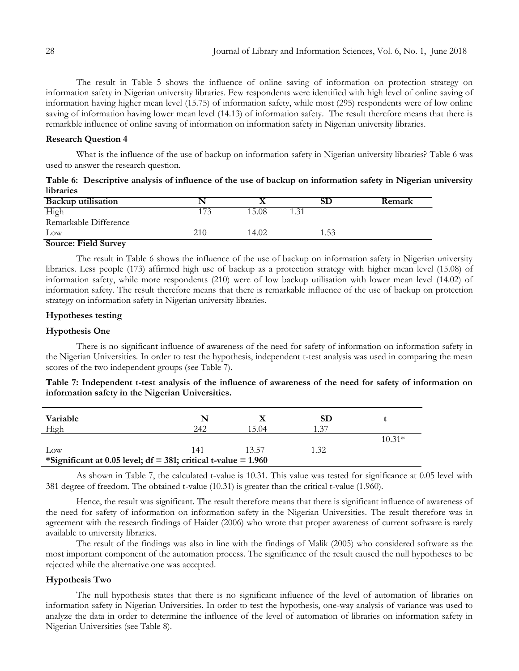The result in Table 5 shows the influence of online saving of information on protection strategy on information safety in Nigerian university libraries. Few respondents were identified with high level of online saving of information having higher mean level (15.75) of information safety, while most (295) respondents were of low online saving of information having lower mean level (14.13) of information safety. The result therefore means that there is remarkble influence of online saving of information on information safety in Nigerian university libraries.

### **Research Question 4**

What is the influence of the use of backup on information safety in Nigerian university libraries? Table 6 was used to answer the research question.

|           | Table 6: Descriptive analysis of influence of the use of backup on information safety in Nigerian university |  |  |  |
|-----------|--------------------------------------------------------------------------------------------------------------|--|--|--|
| libraries |                                                                                                              |  |  |  |

| <b>Backup utilisation</b>   |     |       |      |      | <b>Remark</b> |
|-----------------------------|-----|-------|------|------|---------------|
| High                        | 173 | 15.08 | 1.31 |      |               |
| Remarkable Difference       |     |       |      |      |               |
| Low                         | 210 | 14.02 |      | 1.53 |               |
| <b>Source: Field Survey</b> |     |       |      |      |               |

The result in Table 6 shows the influence of the use of backup on information safety in Nigerian university libraries. Less people (173) affirmed high use of backup as a protection strategy with higher mean level (15.08) of information safety, while more respondents (210) were of low backup utilisation with lower mean level (14.02) of information safety. The result therefore means that there is remarkable influence of the use of backup on protection strategy on information safety in Nigerian university libraries.

# **Hypotheses testing**

### **Hypothesis One**

There is no significant influence of awareness of the need for safety of information on information safety in the Nigerian Universities. In order to test the hypothesis, independent t-test analysis was used in comparing the mean scores of the two independent groups (see Table 7).

|                                                  | Table 7: Independent t-test analysis of the influence of awareness of the need for safety of information on |
|--------------------------------------------------|-------------------------------------------------------------------------------------------------------------|
| information safety in the Nigerian Universities. |                                                                                                             |

| Variable<br>High                                                  | N<br>242 | 15.04 | <b>SD</b><br>1 37 |          |  |  |  |
|-------------------------------------------------------------------|----------|-------|-------------------|----------|--|--|--|
|                                                                   |          |       |                   | $10.31*$ |  |  |  |
| $_{\text{Low}}$                                                   | 141      | 13.57 | 1.32              |          |  |  |  |
| *Significant at 0.05 level; $df = 381$ ; critical t-value = 1.960 |          |       |                   |          |  |  |  |

As shown in Table 7, the calculated t-value is 10.31. This value was tested for significance at 0.05 level with 381 degree of freedom. The obtained t-value (10.31) is greater than the critical t-value (1.960).

Hence, the result was significant. The result therefore means that there is significant influence of awareness of the need for safety of information on information safety in the Nigerian Universities. The result therefore was in agreement with the research findings of Haider (2006) who wrote that proper awareness of current software is rarely available to university libraries.

The result of the findings was also in line with the findings of Malik (2005) who considered software as the most important component of the automation process. The significance of the result caused the null hypotheses to be rejected while the alternative one was accepted.

# **Hypothesis Two**

The null hypothesis states that there is no significant influence of the level of automation of libraries on information safety in Nigerian Universities. In order to test the hypothesis, one-way analysis of variance was used to analyze the data in order to determine the influence of the level of automation of libraries on information safety in Nigerian Universities (see Table 8).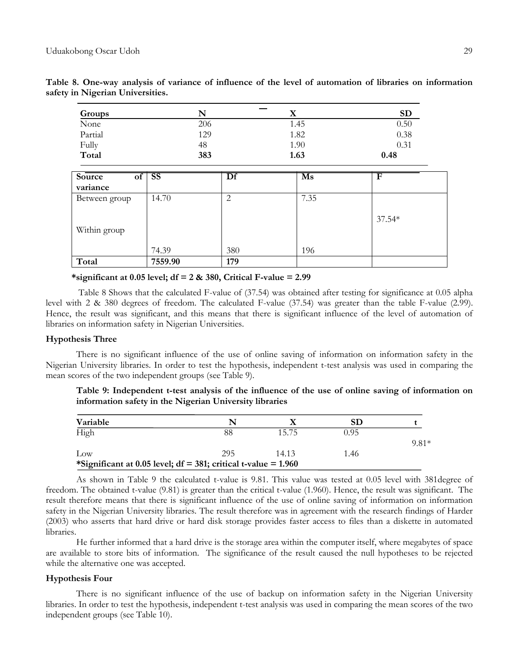| Groups       | N               | $\bf{X}$ | <b>SD</b> |
|--------------|-----------------|----------|-----------|
| None         | 206             | 1.45     | 0.50      |
| Partial      | 129             | 1.82     | 0.38      |
| Fully        | 48              | 1.90     | 0.31      |
| Total        | 383             | 1.63     | 0.48      |
| Source<br>of | <b>SS</b><br>Df | Ms       | F         |
| variance     |                 |          |           |

**Table 8. One-way analysis of variance of influence of the level of automation of libraries on information safety in Nigerian Universities.**

| Total         | 7559.90 | 179 |      |          |
|---------------|---------|-----|------|----------|
|               | 74.39   | 380 | 196  |          |
| Within group  |         |     |      |          |
|               |         |     |      | $37.54*$ |
| Between group | 14.70   | ∸   | 7.35 |          |

\*significant at  $0.05$  level;  $df = 2 \& 380$ , Critical F-value = 2.99

Table 8 Shows that the calculated F-value of (37.54) was obtained after testing for significance at 0.05 alpha level with 2 & 380 degrees of freedom. The calculated F-value (37.54) was greater than the table F-value (2.99). Hence, the result was significant, and this means that there is significant influence of the level of automation of libraries on information safety in Nigerian Universities.

### **Hypothesis Three**

There is no significant influence of the use of online saving of information on information safety in the Nigerian University libraries. In order to test the hypothesis, independent t-test analysis was used in comparing the mean scores of the two independent groups (see Table 9).

# **Table 9: Independent t-test analysis of the influence of the use of online saving of information on information safety in the Nigerian University libraries**

| Variable                                                          |     |       | SD   |         |  |  |
|-------------------------------------------------------------------|-----|-------|------|---------|--|--|
| High                                                              | 88  | 15.75 | N 95 |         |  |  |
|                                                                   |     |       |      | $9.81*$ |  |  |
| Low                                                               | 295 | 14.13 | 1.46 |         |  |  |
| *Significant at 0.05 level; $df = 381$ ; critical t-value = 1.960 |     |       |      |         |  |  |

As shown in Table 9 the calculated t-value is 9.81. This value was tested at 0.05 level with 381degree of freedom. The obtained t-value (9.81) is greater than the critical t-value (1.960). Hence, the result was significant. The result therefore means that there is significant influence of the use of online saving of information on information safety in the Nigerian University libraries. The result therefore was in agreement with the research findings of Harder (2003) who asserts that hard drive or hard disk storage provides faster access to files than a diskette in automated libraries.

He further informed that a hard drive is the storage area within the computer itself, where megabytes of space are available to store bits of information. The significance of the result caused the null hypotheses to be rejected while the alternative one was accepted.

### **Hypothesis Four**

There is no significant influence of the use of backup on information safety in the Nigerian University libraries. In order to test the hypothesis, independent t-test analysis was used in comparing the mean scores of the two independent groups (see Table 10).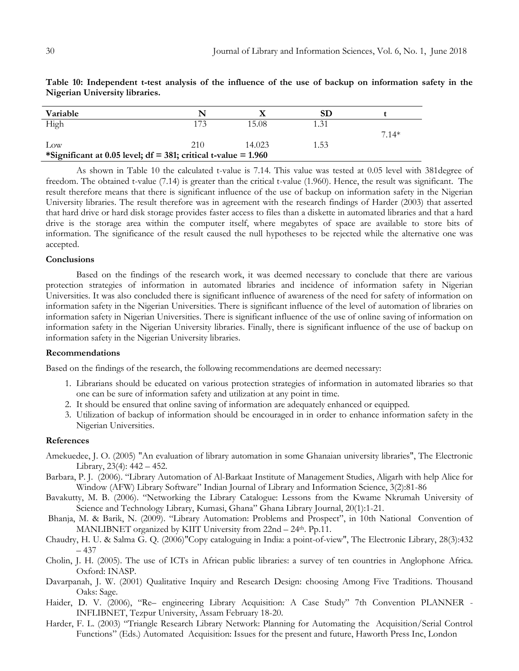| Variable                                                          |     |        | SD   |         |
|-------------------------------------------------------------------|-----|--------|------|---------|
| High                                                              |     | 15.08  | 1.31 |         |
|                                                                   |     |        |      | $7.14*$ |
| $_{\text{Low}}$                                                   | 210 | 14.023 | 1.53 |         |
| *Significant at 0.05 level; $df = 381$ ; critical t-value = 1.960 |     |        |      |         |

**Table 10: Independent t-test analysis of the influence of the use of backup on information safety in the Nigerian University libraries.**

As shown in Table 10 the calculated t-value is 7.14. This value was tested at 0.05 level with 381degree of freedom. The obtained t-value (7.14) is greater than the critical t-value (1.960). Hence, the result was significant. The result therefore means that there is significant influence of the use of backup on information safety in the Nigerian University libraries. The result therefore was in agreement with the research findings of Harder (2003) that asserted that hard drive or hard disk storage provides faster access to files than a diskette in automated libraries and that a hard drive is the storage area within the computer itself, where megabytes of space are available to store bits of information. The significance of the result caused the null hypotheses to be rejected while the alternative one was accepted.

# **Conclusions**

Based on the findings of the research work, it was deemed necessary to conclude that there are various protection strategies of information in automated libraries and incidence of information safety in Nigerian Universities. It was also concluded there is significant influence of awareness of the need for safety of information on information safety in the Nigerian Universities. There is significant influence of the level of automation of libraries on information safety in Nigerian Universities. There is significant influence of the use of online saving of information on information safety in the Nigerian University libraries. Finally, there is significant influence of the use of backup on information safety in the Nigerian University libraries.

### **Recommendations**

Based on the findings of the research, the following recommendations are deemed necessary:

- 1. Librarians should be educated on various protection strategies of information in automated libraries so that one can be sure of information safety and utilization at any point in time.
- 2. It should be ensured that online saving of information are adequately enhanced or equipped.
- 3. Utilization of backup of information should be encouraged in in order to enhance information safety in the Nigerian Universities.

### **References**

- Amekuedee, J. O. (2005) "An evaluation of library automation in some Ghanaian university libraries", The Electronic Library, 23(4): 442 – 452.
- Barbara, P. J. (2006). "Library Automation of Al-Barkaat Institute of Management Studies, Aligarh with help Alice for Window (AFW) Library Software" Indian Journal of Library and Information Science, 3(2):81-86
- Bavakutty, M. B. (2006). "Networking the Library Catalogue: Lessons from the Kwame Nkrumah University of Science and Technology Library, Kumasi, Ghana" Ghana Library Journal, 20(1):1-21.
- Bhanja, M. & Barik, N. (2009). "Library Automation: Problems and Prospect", in 10th National Convention of MANLIBNET organized by KIIT University from 22nd – 24<sup>th</sup>. Pp.11.
- Chaudry, H. U. & Salma G. Q. (2006)"Copy cataloguing in India: a point-of-view", The Electronic Library, 28(3):432 – 437
- Cholin, J. H. (2005). The use of ICTs in African public libraries: a survey of ten countries in Anglophone Africa. Oxford: INASP.
- Davarpanah, J. W. (2001) Qualitative Inquiry and Research Design: choosing Among Five Traditions. Thousand Oaks: Sage.
- Haider, D. V. (2006), "Re– engineering Library Acquisition: A Case Study" 7th Convention PLANNER INFLIBNET, Tezpur University, Assam February 18-20.
- Harder, F. L. (2003) "Triangle Research Library Network: Planning for Automating the Acquisition/Serial Control Functions" (Eds.) Automated Acquisition: Issues for the present and future, Haworth Press Inc, London